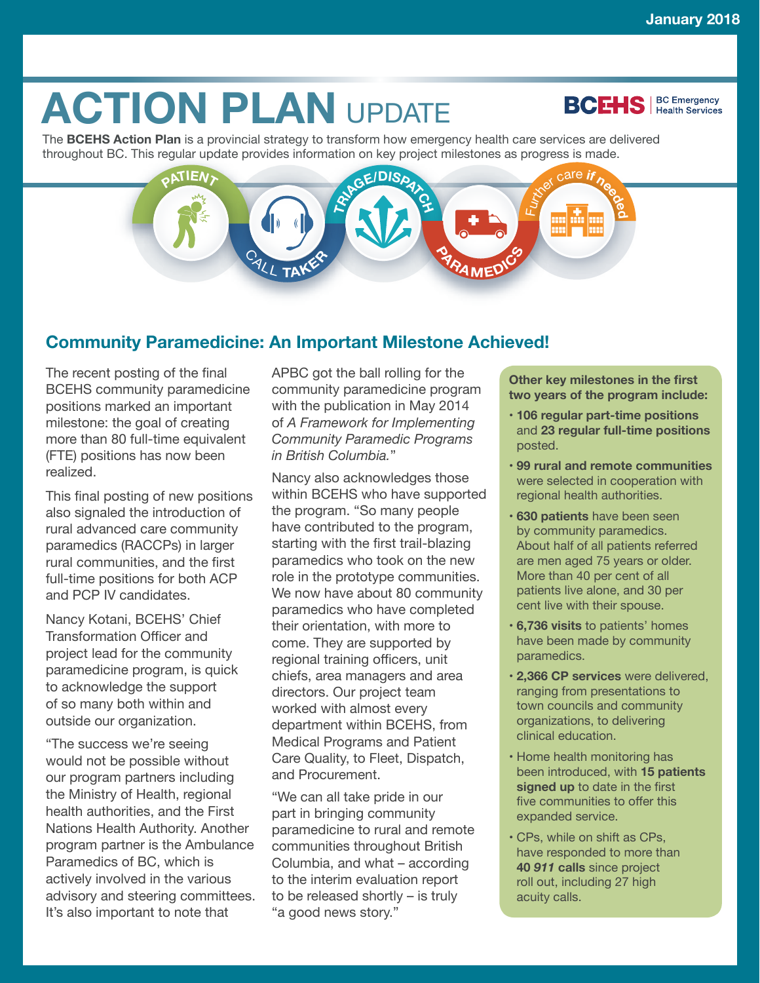**BCEHS** | BC Emergency

# **ACTION PLAN UPDATE**

The **BCEHS Action Plan** is a provincial strategy to transform how emergency health care services are delivered throughout BC. This regular update provides information on key project milestones as progress is made.

# **PATIEN**  $\frac{1}{2}$ **f**  $\frac{1}{2}$ **E** <sup>C</sup>AL<sup>L</sup> **<sup>T</sup>AKE<sup>R</sup> <sup>P</sup>ARAMED<sup>I</sup>C<sup>S</sup>**

# **Community Paramedicine: An Important Milestone Achieved!**

The recent posting of the final BCEHS community paramedicine positions marked an important milestone: the goal of creating more than 80 full-time equivalent (FTE) positions has now been realized.

This final posting of new positions also signaled the introduction of rural advanced care community paramedics (RACCPs) in larger rural communities, and the first full-time positions for both ACP and PCP IV candidates.

Nancy Kotani, BCEHS' Chief Transformation Officer and project lead for the community paramedicine program, is quick to acknowledge the support of so many both within and outside our organization.

"The success we're seeing would not be possible without our program partners including the Ministry of Health, regional health authorities, and the First Nations Health Authority. Another program partner is the Ambulance Paramedics of BC, which is actively involved in the various advisory and steering committees. It's also important to note that

APBC got the ball rolling for the community paramedicine program with the publication in May 2014 of *A Framework for Implementing Community Paramedic Programs in British Columbia.*"

Nancy also acknowledges those within BCEHS who have supported the program. "So many people have contributed to the program, starting with the first trail-blazing paramedics who took on the new role in the prototype communities. We now have about 80 community paramedics who have completed their orientation, with more to come. They are supported by regional training officers, unit chiefs, area managers and area directors. Our project team worked with almost every department within BCEHS, from Medical Programs and Patient Care Quality, to Fleet, Dispatch, and Procurement.

"We can all take pride in our part in bringing community paramedicine to rural and remote communities throughout British Columbia, and what – according to the interim evaluation report to be released shortly – is truly "a good news story."

**Other key milestones in the first two years of the program include:**

- **106 regular part-time positions** and **23 regular full-time positions** posted.
- **99 rural and remote communities** were selected in cooperation with regional health authorities.
- **630 patients** have been seen by community paramedics. About half of all patients referred are men aged 75 years or older. More than 40 per cent of all patients live alone, and 30 per cent live with their spouse.
- **6,736 visits** to patients' homes have been made by community paramedics.
- **2,366 CP services** were delivered, ranging from presentations to town councils and community organizations, to delivering clinical education.
- Home health monitoring has been introduced, with **15 patients signed up** to date in the first five communities to offer this expanded service.
- CPs, while on shift as CPs, have responded to more than **40** *911* **calls** since project roll out, including 27 high acuity calls.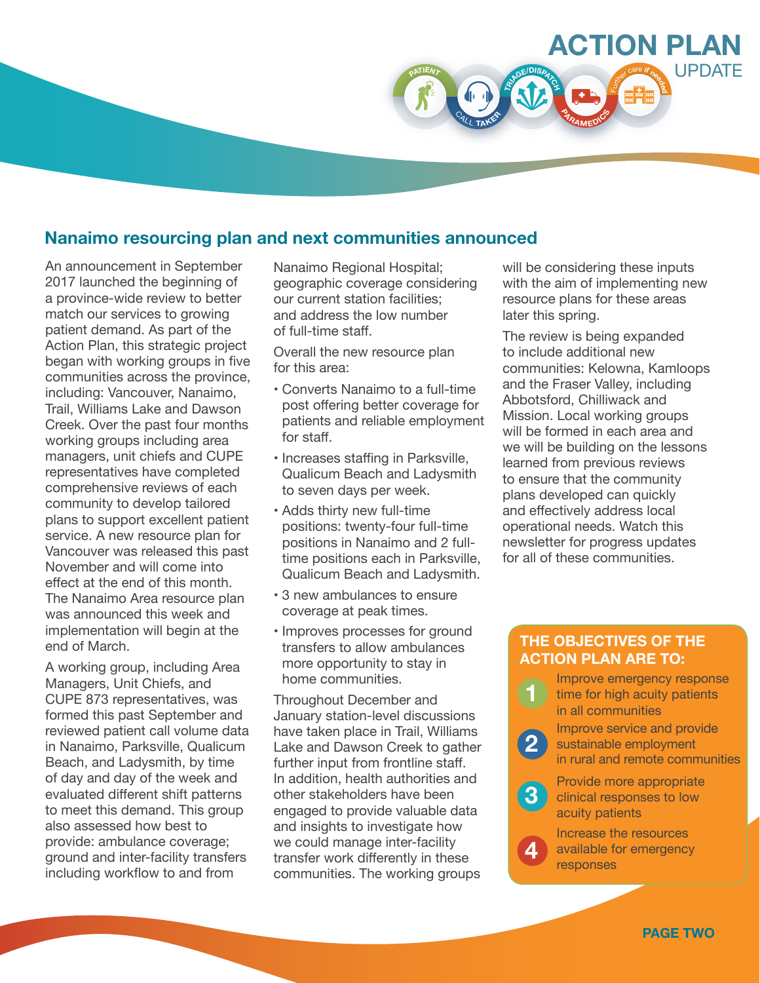

An announcement in September 2017 launched the beginning of a province-wide review to better match our services to growing patient demand. As part of the Action Plan, this strategic project began with working groups in five communities across the province, including: Vancouver, Nanaimo, Trail, Williams Lake and Dawson Creek. Over the past four months working groups including area managers, unit chiefs and CUPE representatives have completed comprehensive reviews of each community to develop tailored plans to support excellent patient service. A new resource plan for Vancouver was released this past November and will come into effect at the end of this month. The Nanaimo Area resource plan was announced this week and implementation will begin at the end of March.

A working group, including Area Managers, Unit Chiefs, and CUPE 873 representatives, was formed this past September and reviewed patient call volume data in Nanaimo, Parksville, Qualicum Beach, and Ladysmith, by time of day and day of the week and evaluated different shift patterns to meet this demand. This group also assessed how best to provide: ambulance coverage; ground and inter-facility transfers including workflow to and from

Nanaimo Regional Hospital; geographic coverage considering our current station facilities; and address the low number of full-time staff.

**<sup>P</sup>ATIEN<sup>T</sup>**

 $\frac{1}{2}$ 

<sup>C</sup>AL<sup>L</sup> **<sup>T</sup>AKE<sup>R</sup>**

Overall the new resource plan for this area:

- Converts Nanaimo to a full-time post offering better coverage for patients and reliable employment for staff.
- Increases staffing in Parksville, Qualicum Beach and Ladysmith to seven days per week.
- Adds thirty new full-time positions: twenty-four full-time positions in Nanaimo and 2 fulltime positions each in Parksville, Qualicum Beach and Ladysmith.
- 3 new ambulances to ensure coverage at peak times.
- Improves processes for ground transfers to allow ambulances more opportunity to stay in home communities.

Throughout December and January station-level discussions have taken place in Trail, Williams Lake and Dawson Creek to gather further input from frontline staff. In addition, health authorities and other stakeholders have been engaged to provide valuable data and insights to investigate how we could manage inter-facility transfer work differently in these communities. The working groups

will be considering these inputs with the aim of implementing new resource plans for these areas later this spring.

**<sup>P</sup>ARAMED<sup>I</sup>C<sup>S</sup>**

**ACTION PLAN**

<sup>F</sup>urthe<sup>r</sup> <sup>c</sup>ar<sup>e</sup> **<sup>i</sup><sup>f</sup> <sup>n</sup>eede<sup>d</sup>**

**UPDATE** 

The review is being expanded to include additional new communities: Kelowna, Kamloops and the Fraser Valley, including Abbotsford, Chilliwack and Mission. Local working groups will be formed in each area and we will be building on the lessons learned from previous reviews to ensure that the community plans developed can quickly and effectively address local operational needs. Watch this newsletter for progress updates for all of these communities.

#### **THE OBJECTIVES OF THE ACTION PLAN ARE TO:**

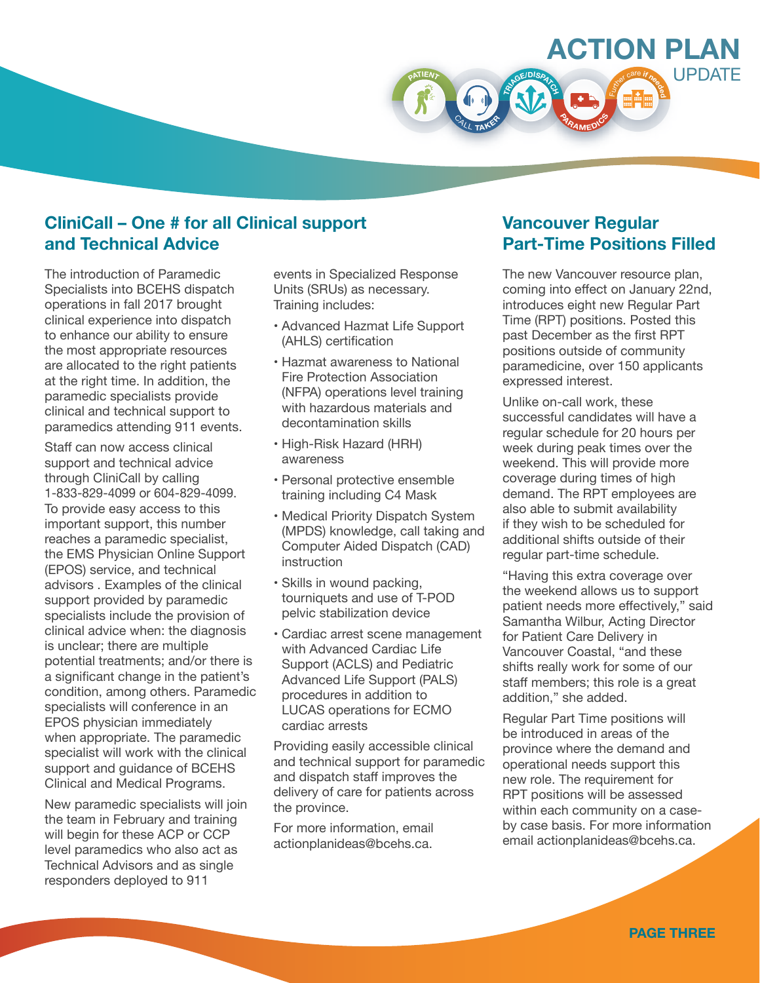

# **CliniCall – One # for all Clinical support and Technical Advice**

The introduction of Paramedic Specialists into BCEHS dispatch operations in fall 2017 brought clinical experience into dispatch to enhance our ability to ensure the most appropriate resources are allocated to the right patients at the right time. In addition, the paramedic specialists provide clinical and technical support to paramedics attending 911 events.

Staff can now access clinical support and technical advice through CliniCall by calling 1-833-829-4099 or 604-829-4099. To provide easy access to this important support, this number reaches a paramedic specialist, the EMS Physician Online Support (EPOS) service, and technical advisors . Examples of the clinical support provided by paramedic specialists include the provision of clinical advice when: the diagnosis is unclear; there are multiple potential treatments; and/or there is a significant change in the patient's condition, among others. Paramedic specialists will conference in an EPOS physician immediately when appropriate. The paramedic specialist will work with the clinical support and guidance of BCEHS Clinical and Medical Programs.

New paramedic specialists will join the team in February and training will begin for these ACP or CCP level paramedics who also act as Technical Advisors and as single responders deployed to 911

events in Specialized Response Units (SRUs) as necessary. Training includes:

- Advanced Hazmat Life Support (AHLS) certification
- Hazmat awareness to National Fire Protection Association (NFPA) operations level training with hazardous materials and decontamination skills
- High-Risk Hazard (HRH) awareness
- Personal protective ensemble training including C4 Mask
- Medical Priority Dispatch System (MPDS) knowledge, call taking and Computer Aided Dispatch (CAD) instruction
- Skills in wound packing, tourniquets and use of T-POD pelvic stabilization device
- Cardiac arrest scene management with Advanced Cardiac Life Support (ACLS) and Pediatric Advanced Life Support (PALS) procedures in addition to LUCAS operations for ECMO cardiac arrests

Providing easily accessible clinical and technical support for paramedic and dispatch staff improves the delivery of care for patients across the province.

For more information, email actionplanideas@bcehs.ca.

# **Vancouver Regular Part-Time Positions Filled**

The new Vancouver resource plan, coming into effect on January 22nd, introduces eight new Regular Part Time (RPT) positions. Posted this past December as the first RPT positions outside of community paramedicine, over 150 applicants expressed interest.

Unlike on-call work, these successful candidates will have a regular schedule for 20 hours per week during peak times over the weekend. This will provide more coverage during times of high demand. The RPT employees are also able to submit availability if they wish to be scheduled for additional shifts outside of their regular part-time schedule.

"Having this extra coverage over the weekend allows us to support patient needs more effectively," said Samantha Wilbur, Acting Director for Patient Care Delivery in Vancouver Coastal, "and these shifts really work for some of our staff members; this role is a great addition," she added.

Regular Part Time positions will be introduced in areas of the province where the demand and operational needs support this new role. The requirement for RPT positions will be assessed within each community on a caseby case basis. For more information email actionplanideas@bcehs.ca.